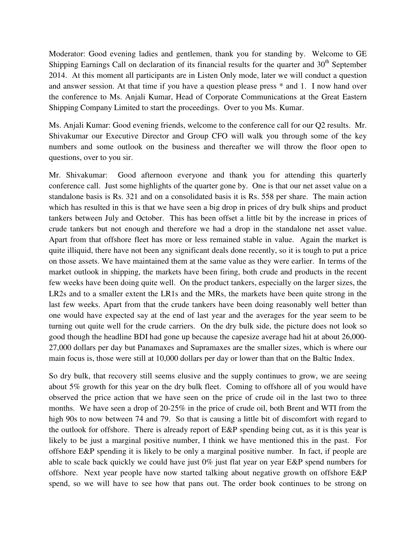Moderator: Good evening ladies and gentlemen, thank you for standing by. Welcome to GE Shipping Earnings Call on declaration of its financial results for the quarter and  $30<sup>th</sup>$  September 2014. At this moment all participants are in Listen Only mode, later we will conduct a question and answer session. At that time if you have a question please press \* and 1. I now hand over the conference to Ms. Anjali Kumar, Head of Corporate Communications at the Great Eastern Shipping Company Limited to start the proceedings. Over to you Ms. Kumar.

Ms. Anjali Kumar: Good evening friends, welcome to the conference call for our Q2 results. Mr. Shivakumar our Executive Director and Group CFO will walk you through some of the key numbers and some outlook on the business and thereafter we will throw the floor open to questions, over to you sir.

Mr. Shivakumar: Good afternoon everyone and thank you for attending this quarterly conference call. Just some highlights of the quarter gone by. One is that our net asset value on a standalone basis is Rs. 321 and on a consolidated basis it is Rs. 558 per share. The main action which has resulted in this is that we have seen a big drop in prices of dry bulk ships and product tankers between July and October. This has been offset a little bit by the increase in prices of crude tankers but not enough and therefore we had a drop in the standalone net asset value. Apart from that offshore fleet has more or less remained stable in value. Again the market is quite illiquid, there have not been any significant deals done recently, so it is tough to put a price on those assets. We have maintained them at the same value as they were earlier. In terms of the market outlook in shipping, the markets have been firing, both crude and products in the recent few weeks have been doing quite well. On the product tankers, especially on the larger sizes, the LR2s and to a smaller extent the LR1s and the MRs, the markets have been quite strong in the last few weeks. Apart from that the crude tankers have been doing reasonably well better than one would have expected say at the end of last year and the averages for the year seem to be turning out quite well for the crude carriers. On the dry bulk side, the picture does not look so good though the headline BDI had gone up because the capesize average had hit at about 26,000- 27,000 dollars per day but Panamaxes and Supramaxes are the smaller sizes, which is where our main focus is, those were still at 10,000 dollars per day or lower than that on the Baltic Index.

So dry bulk, that recovery still seems elusive and the supply continues to grow, we are seeing about 5% growth for this year on the dry bulk fleet. Coming to offshore all of you would have observed the price action that we have seen on the price of crude oil in the last two to three months. We have seen a drop of 20-25% in the price of crude oil, both Brent and WTI from the high 90s to now between 74 and 79. So that is causing a little bit of discomfort with regard to the outlook for offshore. There is already report of E&P spending being cut, as it is this year is likely to be just a marginal positive number, I think we have mentioned this in the past. For offshore E&P spending it is likely to be only a marginal positive number. In fact, if people are able to scale back quickly we could have just 0% just flat year on year E&P spend numbers for offshore. Next year people have now started talking about negative growth on offshore E&P spend, so we will have to see how that pans out. The order book continues to be strong on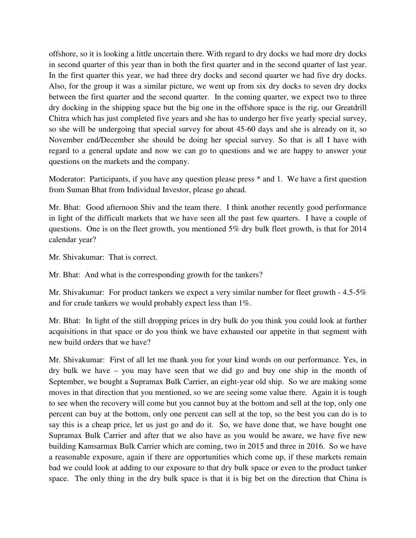offshore, so it is looking a little uncertain there. With regard to dry docks we had more dry docks in second quarter of this year than in both the first quarter and in the second quarter of last year. In the first quarter this year, we had three dry docks and second quarter we had five dry docks. Also, for the group it was a similar picture, we went up from six dry docks to seven dry docks between the first quarter and the second quarter. In the coming quarter, we expect two to three dry docking in the shipping space but the big one in the offshore space is the rig, our Greatdrill Chitra which has just completed five years and she has to undergo her five yearly special survey, so she will be undergoing that special survey for about 45-60 days and she is already on it, so November end/December she should be doing her special survey. So that is all I have with regard to a general update and now we can go to questions and we are happy to answer your questions on the markets and the company.

Moderator: Participants, if you have any question please press \* and 1. We have a first question from Suman Bhat from Individual Investor, please go ahead.

Mr. Bhat: Good afternoon Shiv and the team there. I think another recently good performance in light of the difficult markets that we have seen all the past few quarters. I have a couple of questions. One is on the fleet growth, you mentioned 5% dry bulk fleet growth, is that for 2014 calendar year?

Mr. Shivakumar: That is correct.

Mr. Bhat: And what is the corresponding growth for the tankers?

Mr. Shivakumar: For product tankers we expect a very similar number for fleet growth - 4.5-5% and for crude tankers we would probably expect less than 1%.

Mr. Bhat: In light of the still dropping prices in dry bulk do you think you could look at further acquisitions in that space or do you think we have exhausted our appetite in that segment with new build orders that we have?

Mr. Shivakumar: First of all let me thank you for your kind words on our performance. Yes, in dry bulk we have – you may have seen that we did go and buy one ship in the month of September, we bought a Supramax Bulk Carrier, an eight-year old ship. So we are making some moves in that direction that you mentioned, so we are seeing some value there. Again it is tough to see when the recovery will come but you cannot buy at the bottom and sell at the top, only one percent can buy at the bottom, only one percent can sell at the top, so the best you can do is to say this is a cheap price, let us just go and do it. So, we have done that, we have bought one Supramax Bulk Carrier and after that we also have as you would be aware, we have five new building Kamsarmax Bulk Carrier which are coming, two in 2015 and three in 2016. So we have a reasonable exposure, again if there are opportunities which come up, if these markets remain bad we could look at adding to our exposure to that dry bulk space or even to the product tanker space. The only thing in the dry bulk space is that it is big bet on the direction that China is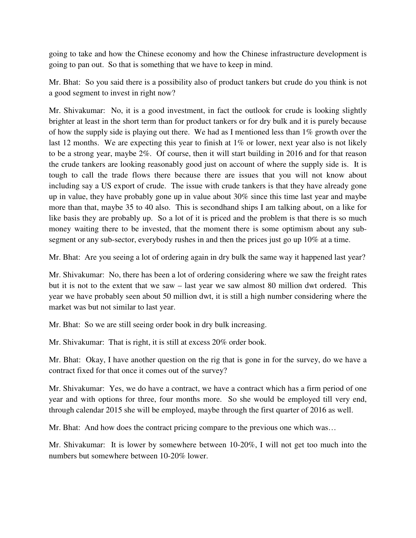going to take and how the Chinese economy and how the Chinese infrastructure development is going to pan out. So that is something that we have to keep in mind.

Mr. Bhat: So you said there is a possibility also of product tankers but crude do you think is not a good segment to invest in right now?

Mr. Shivakumar: No, it is a good investment, in fact the outlook for crude is looking slightly brighter at least in the short term than for product tankers or for dry bulk and it is purely because of how the supply side is playing out there. We had as I mentioned less than 1% growth over the last 12 months. We are expecting this year to finish at 1% or lower, next year also is not likely to be a strong year, maybe 2%. Of course, then it will start building in 2016 and for that reason the crude tankers are looking reasonably good just on account of where the supply side is. It is tough to call the trade flows there because there are issues that you will not know about including say a US export of crude. The issue with crude tankers is that they have already gone up in value, they have probably gone up in value about 30% since this time last year and maybe more than that, maybe 35 to 40 also. This is secondhand ships I am talking about, on a like for like basis they are probably up. So a lot of it is priced and the problem is that there is so much money waiting there to be invested, that the moment there is some optimism about any subsegment or any sub-sector, everybody rushes in and then the prices just go up 10% at a time.

Mr. Bhat: Are you seeing a lot of ordering again in dry bulk the same way it happened last year?

Mr. Shivakumar: No, there has been a lot of ordering considering where we saw the freight rates but it is not to the extent that we saw – last year we saw almost 80 million dwt ordered. This year we have probably seen about 50 million dwt, it is still a high number considering where the market was but not similar to last year.

Mr. Bhat: So we are still seeing order book in dry bulk increasing.

Mr. Shivakumar: That is right, it is still at excess 20% order book.

Mr. Bhat: Okay, I have another question on the rig that is gone in for the survey, do we have a contract fixed for that once it comes out of the survey?

Mr. Shivakumar: Yes, we do have a contract, we have a contract which has a firm period of one year and with options for three, four months more. So she would be employed till very end, through calendar 2015 she will be employed, maybe through the first quarter of 2016 as well.

Mr. Bhat: And how does the contract pricing compare to the previous one which was…

Mr. Shivakumar: It is lower by somewhere between 10-20%, I will not get too much into the numbers but somewhere between 10-20% lower.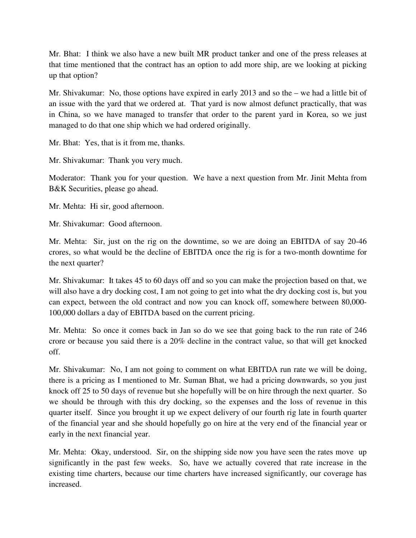Mr. Bhat: I think we also have a new built MR product tanker and one of the press releases at that time mentioned that the contract has an option to add more ship, are we looking at picking up that option?

Mr. Shivakumar: No, those options have expired in early 2013 and so the – we had a little bit of an issue with the yard that we ordered at. That yard is now almost defunct practically, that was in China, so we have managed to transfer that order to the parent yard in Korea, so we just managed to do that one ship which we had ordered originally.

Mr. Bhat: Yes, that is it from me, thanks.

Mr. Shivakumar: Thank you very much.

Moderator: Thank you for your question. We have a next question from Mr. Jinit Mehta from B&K Securities, please go ahead.

Mr. Mehta: Hi sir, good afternoon.

Mr. Shivakumar: Good afternoon.

Mr. Mehta: Sir, just on the rig on the downtime, so we are doing an EBITDA of say 20-46 crores, so what would be the decline of EBITDA once the rig is for a two-month downtime for the next quarter?

Mr. Shivakumar: It takes 45 to 60 days off and so you can make the projection based on that, we will also have a dry docking cost, I am not going to get into what the dry docking cost is, but you can expect, between the old contract and now you can knock off, somewhere between 80,000- 100,000 dollars a day of EBITDA based on the current pricing.

Mr. Mehta: So once it comes back in Jan so do we see that going back to the run rate of 246 crore or because you said there is a 20% decline in the contract value, so that will get knocked off.

Mr. Shivakumar: No, I am not going to comment on what EBITDA run rate we will be doing, there is a pricing as I mentioned to Mr. Suman Bhat, we had a pricing downwards, so you just knock off 25 to 50 days of revenue but she hopefully will be on hire through the next quarter. So we should be through with this dry docking, so the expenses and the loss of revenue in this quarter itself. Since you brought it up we expect delivery of our fourth rig late in fourth quarter of the financial year and she should hopefully go on hire at the very end of the financial year or early in the next financial year.

Mr. Mehta: Okay, understood. Sir, on the shipping side now you have seen the rates move up significantly in the past few weeks. So, have we actually covered that rate increase in the existing time charters, because our time charters have increased significantly, our coverage has increased.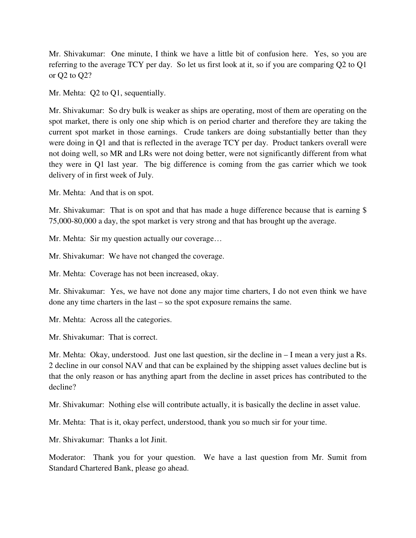Mr. Shivakumar: One minute, I think we have a little bit of confusion here. Yes, so you are referring to the average TCY per day. So let us first look at it, so if you are comparing Q2 to Q1 or Q2 to Q2?

Mr. Mehta: Q2 to Q1, sequentially.

Mr. Shivakumar: So dry bulk is weaker as ships are operating, most of them are operating on the spot market, there is only one ship which is on period charter and therefore they are taking the current spot market in those earnings. Crude tankers are doing substantially better than they were doing in Q1 and that is reflected in the average TCY per day. Product tankers overall were not doing well, so MR and LRs were not doing better, were not significantly different from what they were in Q1 last year. The big difference is coming from the gas carrier which we took delivery of in first week of July.

Mr. Mehta: And that is on spot.

Mr. Shivakumar: That is on spot and that has made a huge difference because that is earning \$ 75,000-80,000 a day, the spot market is very strong and that has brought up the average.

Mr. Mehta: Sir my question actually our coverage…

Mr. Shivakumar: We have not changed the coverage.

Mr. Mehta: Coverage has not been increased, okay.

Mr. Shivakumar: Yes, we have not done any major time charters, I do not even think we have done any time charters in the last – so the spot exposure remains the same.

Mr. Mehta: Across all the categories.

Mr. Shivakumar: That is correct.

Mr. Mehta: Okay, understood. Just one last question, sir the decline in – I mean a very just a Rs. 2 decline in our consol NAV and that can be explained by the shipping asset values decline but is that the only reason or has anything apart from the decline in asset prices has contributed to the decline?

Mr. Shivakumar: Nothing else will contribute actually, it is basically the decline in asset value.

Mr. Mehta: That is it, okay perfect, understood, thank you so much sir for your time.

Mr. Shivakumar: Thanks a lot Jinit.

Moderator: Thank you for your question. We have a last question from Mr. Sumit from Standard Chartered Bank, please go ahead.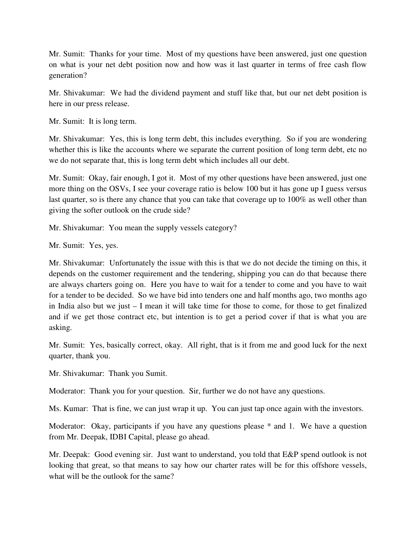Mr. Sumit: Thanks for your time. Most of my questions have been answered, just one question on what is your net debt position now and how was it last quarter in terms of free cash flow generation?

Mr. Shivakumar: We had the dividend payment and stuff like that, but our net debt position is here in our press release.

Mr. Sumit: It is long term.

Mr. Shivakumar: Yes, this is long term debt, this includes everything. So if you are wondering whether this is like the accounts where we separate the current position of long term debt, etc no we do not separate that, this is long term debt which includes all our debt.

Mr. Sumit: Okay, fair enough, I got it. Most of my other questions have been answered, just one more thing on the OSVs, I see your coverage ratio is below 100 but it has gone up I guess versus last quarter, so is there any chance that you can take that coverage up to 100% as well other than giving the softer outlook on the crude side?

Mr. Shivakumar: You mean the supply vessels category?

Mr. Sumit: Yes, yes.

Mr. Shivakumar: Unfortunately the issue with this is that we do not decide the timing on this, it depends on the customer requirement and the tendering, shipping you can do that because there are always charters going on. Here you have to wait for a tender to come and you have to wait for a tender to be decided. So we have bid into tenders one and half months ago, two months ago in India also but we just – I mean it will take time for those to come, for those to get finalized and if we get those contract etc, but intention is to get a period cover if that is what you are asking.

Mr. Sumit: Yes, basically correct, okay. All right, that is it from me and good luck for the next quarter, thank you.

Mr. Shivakumar: Thank you Sumit.

Moderator: Thank you for your question. Sir, further we do not have any questions.

Ms. Kumar: That is fine, we can just wrap it up. You can just tap once again with the investors.

Moderator: Okay, participants if you have any questions please \* and 1. We have a question from Mr. Deepak, IDBI Capital, please go ahead.

Mr. Deepak: Good evening sir. Just want to understand, you told that E&P spend outlook is not looking that great, so that means to say how our charter rates will be for this offshore vessels, what will be the outlook for the same?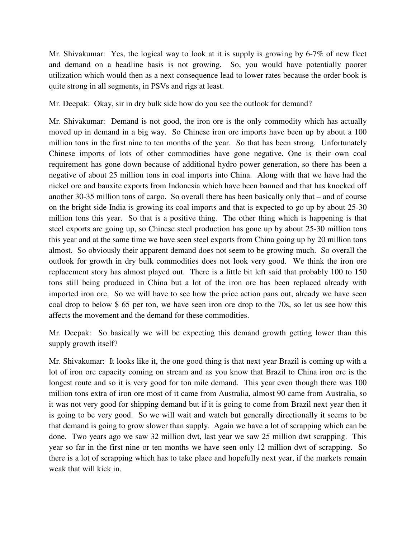Mr. Shivakumar: Yes, the logical way to look at it is supply is growing by 6-7% of new fleet and demand on a headline basis is not growing. So, you would have potentially poorer utilization which would then as a next consequence lead to lower rates because the order book is quite strong in all segments, in PSVs and rigs at least.

Mr. Deepak: Okay, sir in dry bulk side how do you see the outlook for demand?

Mr. Shivakumar: Demand is not good, the iron ore is the only commodity which has actually moved up in demand in a big way. So Chinese iron ore imports have been up by about a 100 million tons in the first nine to ten months of the year. So that has been strong. Unfortunately Chinese imports of lots of other commodities have gone negative. One is their own coal requirement has gone down because of additional hydro power generation, so there has been a negative of about 25 million tons in coal imports into China. Along with that we have had the nickel ore and bauxite exports from Indonesia which have been banned and that has knocked off another 30-35 million tons of cargo. So overall there has been basically only that – and of course on the bright side India is growing its coal imports and that is expected to go up by about 25-30 million tons this year. So that is a positive thing. The other thing which is happening is that steel exports are going up, so Chinese steel production has gone up by about 25-30 million tons this year and at the same time we have seen steel exports from China going up by 20 million tons almost. So obviously their apparent demand does not seem to be growing much. So overall the outlook for growth in dry bulk commodities does not look very good. We think the iron ore replacement story has almost played out. There is a little bit left said that probably 100 to 150 tons still being produced in China but a lot of the iron ore has been replaced already with imported iron ore. So we will have to see how the price action pans out, already we have seen coal drop to below \$ 65 per ton, we have seen iron ore drop to the 70s, so let us see how this affects the movement and the demand for these commodities.

Mr. Deepak: So basically we will be expecting this demand growth getting lower than this supply growth itself?

Mr. Shivakumar: It looks like it, the one good thing is that next year Brazil is coming up with a lot of iron ore capacity coming on stream and as you know that Brazil to China iron ore is the longest route and so it is very good for ton mile demand. This year even though there was 100 million tons extra of iron ore most of it came from Australia, almost 90 came from Australia, so it was not very good for shipping demand but if it is going to come from Brazil next year then it is going to be very good. So we will wait and watch but generally directionally it seems to be that demand is going to grow slower than supply. Again we have a lot of scrapping which can be done. Two years ago we saw 32 million dwt, last year we saw 25 million dwt scrapping. This year so far in the first nine or ten months we have seen only 12 million dwt of scrapping. So there is a lot of scrapping which has to take place and hopefully next year, if the markets remain weak that will kick in.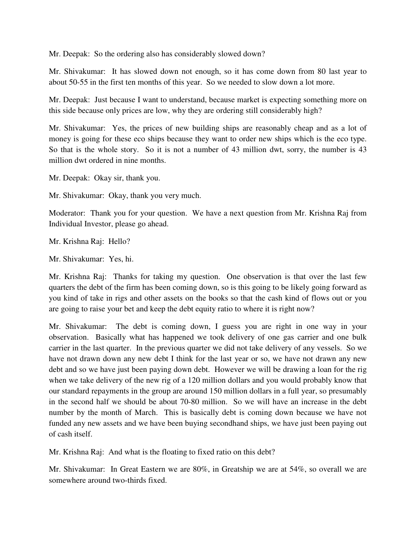Mr. Deepak: So the ordering also has considerably slowed down?

Mr. Shivakumar: It has slowed down not enough, so it has come down from 80 last year to about 50-55 in the first ten months of this year. So we needed to slow down a lot more.

Mr. Deepak: Just because I want to understand, because market is expecting something more on this side because only prices are low, why they are ordering still considerably high?

Mr. Shivakumar: Yes, the prices of new building ships are reasonably cheap and as a lot of money is going for these eco ships because they want to order new ships which is the eco type. So that is the whole story. So it is not a number of 43 million dwt, sorry, the number is 43 million dwt ordered in nine months.

Mr. Deepak: Okay sir, thank you.

Mr. Shivakumar: Okay, thank you very much.

Moderator: Thank you for your question. We have a next question from Mr. Krishna Raj from Individual Investor, please go ahead.

Mr. Krishna Raj: Hello?

Mr. Shivakumar: Yes, hi.

Mr. Krishna Raj: Thanks for taking my question. One observation is that over the last few quarters the debt of the firm has been coming down, so is this going to be likely going forward as you kind of take in rigs and other assets on the books so that the cash kind of flows out or you are going to raise your bet and keep the debt equity ratio to where it is right now?

Mr. Shivakumar: The debt is coming down, I guess you are right in one way in your observation. Basically what has happened we took delivery of one gas carrier and one bulk carrier in the last quarter. In the previous quarter we did not take delivery of any vessels. So we have not drawn down any new debt I think for the last year or so, we have not drawn any new debt and so we have just been paying down debt. However we will be drawing a loan for the rig when we take delivery of the new rig of a 120 million dollars and you would probably know that our standard repayments in the group are around 150 million dollars in a full year, so presumably in the second half we should be about 70-80 million. So we will have an increase in the debt number by the month of March. This is basically debt is coming down because we have not funded any new assets and we have been buying secondhand ships, we have just been paying out of cash itself.

Mr. Krishna Raj: And what is the floating to fixed ratio on this debt?

Mr. Shivakumar: In Great Eastern we are 80%, in Greatship we are at 54%, so overall we are somewhere around two-thirds fixed.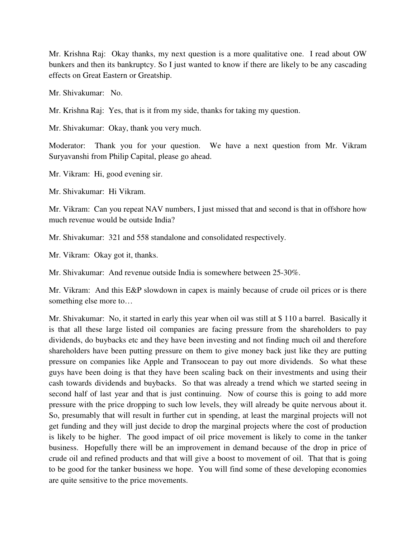Mr. Krishna Raj: Okay thanks, my next question is a more qualitative one. I read about OW bunkers and then its bankruptcy. So I just wanted to know if there are likely to be any cascading effects on Great Eastern or Greatship.

Mr. Shivakumar: No.

Mr. Krishna Raj: Yes, that is it from my side, thanks for taking my question.

Mr. Shivakumar: Okay, thank you very much.

Moderator: Thank you for your question. We have a next question from Mr. Vikram Suryavanshi from Philip Capital, please go ahead.

Mr. Vikram: Hi, good evening sir.

Mr. Shivakumar: Hi Vikram.

Mr. Vikram: Can you repeat NAV numbers, I just missed that and second is that in offshore how much revenue would be outside India?

Mr. Shivakumar: 321 and 558 standalone and consolidated respectively.

Mr. Vikram: Okay got it, thanks.

Mr. Shivakumar: And revenue outside India is somewhere between 25-30%.

Mr. Vikram: And this E&P slowdown in capex is mainly because of crude oil prices or is there something else more to…

Mr. Shivakumar: No, it started in early this year when oil was still at \$ 110 a barrel. Basically it is that all these large listed oil companies are facing pressure from the shareholders to pay dividends, do buybacks etc and they have been investing and not finding much oil and therefore shareholders have been putting pressure on them to give money back just like they are putting pressure on companies like Apple and Transocean to pay out more dividends. So what these guys have been doing is that they have been scaling back on their investments and using their cash towards dividends and buybacks. So that was already a trend which we started seeing in second half of last year and that is just continuing. Now of course this is going to add more pressure with the price dropping to such low levels, they will already be quite nervous about it. So, presumably that will result in further cut in spending, at least the marginal projects will not get funding and they will just decide to drop the marginal projects where the cost of production is likely to be higher. The good impact of oil price movement is likely to come in the tanker business. Hopefully there will be an improvement in demand because of the drop in price of crude oil and refined products and that will give a boost to movement of oil. That that is going to be good for the tanker business we hope. You will find some of these developing economies are quite sensitive to the price movements.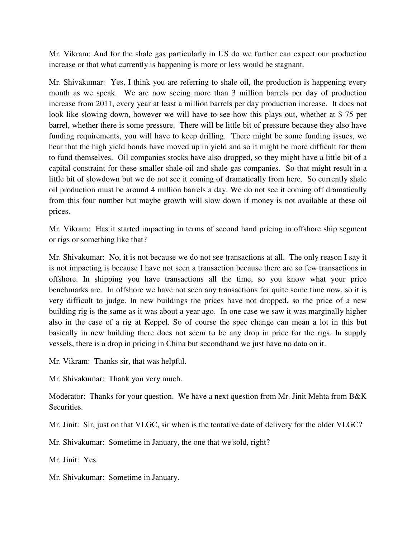Mr. Vikram: And for the shale gas particularly in US do we further can expect our production increase or that what currently is happening is more or less would be stagnant.

Mr. Shivakumar: Yes, I think you are referring to shale oil, the production is happening every month as we speak. We are now seeing more than 3 million barrels per day of production increase from 2011, every year at least a million barrels per day production increase. It does not look like slowing down, however we will have to see how this plays out, whether at \$ 75 per barrel, whether there is some pressure. There will be little bit of pressure because they also have funding requirements, you will have to keep drilling. There might be some funding issues, we hear that the high yield bonds have moved up in yield and so it might be more difficult for them to fund themselves. Oil companies stocks have also dropped, so they might have a little bit of a capital constraint for these smaller shale oil and shale gas companies. So that might result in a little bit of slowdown but we do not see it coming of dramatically from here. So currently shale oil production must be around 4 million barrels a day. We do not see it coming off dramatically from this four number but maybe growth will slow down if money is not available at these oil prices.

Mr. Vikram: Has it started impacting in terms of second hand pricing in offshore ship segment or rigs or something like that?

Mr. Shivakumar: No, it is not because we do not see transactions at all. The only reason I say it is not impacting is because I have not seen a transaction because there are so few transactions in offshore. In shipping you have transactions all the time, so you know what your price benchmarks are. In offshore we have not seen any transactions for quite some time now, so it is very difficult to judge. In new buildings the prices have not dropped, so the price of a new building rig is the same as it was about a year ago. In one case we saw it was marginally higher also in the case of a rig at Keppel. So of course the spec change can mean a lot in this but basically in new building there does not seem to be any drop in price for the rigs. In supply vessels, there is a drop in pricing in China but secondhand we just have no data on it.

Mr. Vikram: Thanks sir, that was helpful.

Mr. Shivakumar: Thank you very much.

Moderator: Thanks for your question. We have a next question from Mr. Jinit Mehta from B&K Securities.

Mr. Jinit: Sir, just on that VLGC, sir when is the tentative date of delivery for the older VLGC?

Mr. Shivakumar: Sometime in January, the one that we sold, right?

Mr. Jinit: Yes.

Mr. Shivakumar: Sometime in January.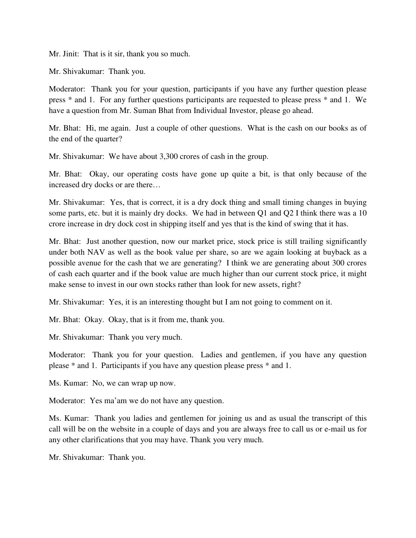Mr. Jinit: That is it sir, thank you so much.

Mr. Shivakumar: Thank you.

Moderator: Thank you for your question, participants if you have any further question please press \* and 1. For any further questions participants are requested to please press \* and 1. We have a question from Mr. Suman Bhat from Individual Investor, please go ahead.

Mr. Bhat: Hi, me again. Just a couple of other questions. What is the cash on our books as of the end of the quarter?

Mr. Shivakumar: We have about 3,300 crores of cash in the group.

Mr. Bhat: Okay, our operating costs have gone up quite a bit, is that only because of the increased dry docks or are there…

Mr. Shivakumar: Yes, that is correct, it is a dry dock thing and small timing changes in buying some parts, etc. but it is mainly dry docks. We had in between Q1 and Q2 I think there was a 10 crore increase in dry dock cost in shipping itself and yes that is the kind of swing that it has.

Mr. Bhat: Just another question, now our market price, stock price is still trailing significantly under both NAV as well as the book value per share, so are we again looking at buyback as a possible avenue for the cash that we are generating? I think we are generating about 300 crores of cash each quarter and if the book value are much higher than our current stock price, it might make sense to invest in our own stocks rather than look for new assets, right?

Mr. Shivakumar: Yes, it is an interesting thought but I am not going to comment on it.

Mr. Bhat: Okay. Okay, that is it from me, thank you.

Mr. Shivakumar: Thank you very much.

Moderator: Thank you for your question. Ladies and gentlemen, if you have any question please \* and 1. Participants if you have any question please press \* and 1.

Ms. Kumar: No, we can wrap up now.

Moderator: Yes ma'am we do not have any question.

Ms. Kumar: Thank you ladies and gentlemen for joining us and as usual the transcript of this call will be on the website in a couple of days and you are always free to call us or e-mail us for any other clarifications that you may have. Thank you very much.

Mr. Shivakumar: Thank you.